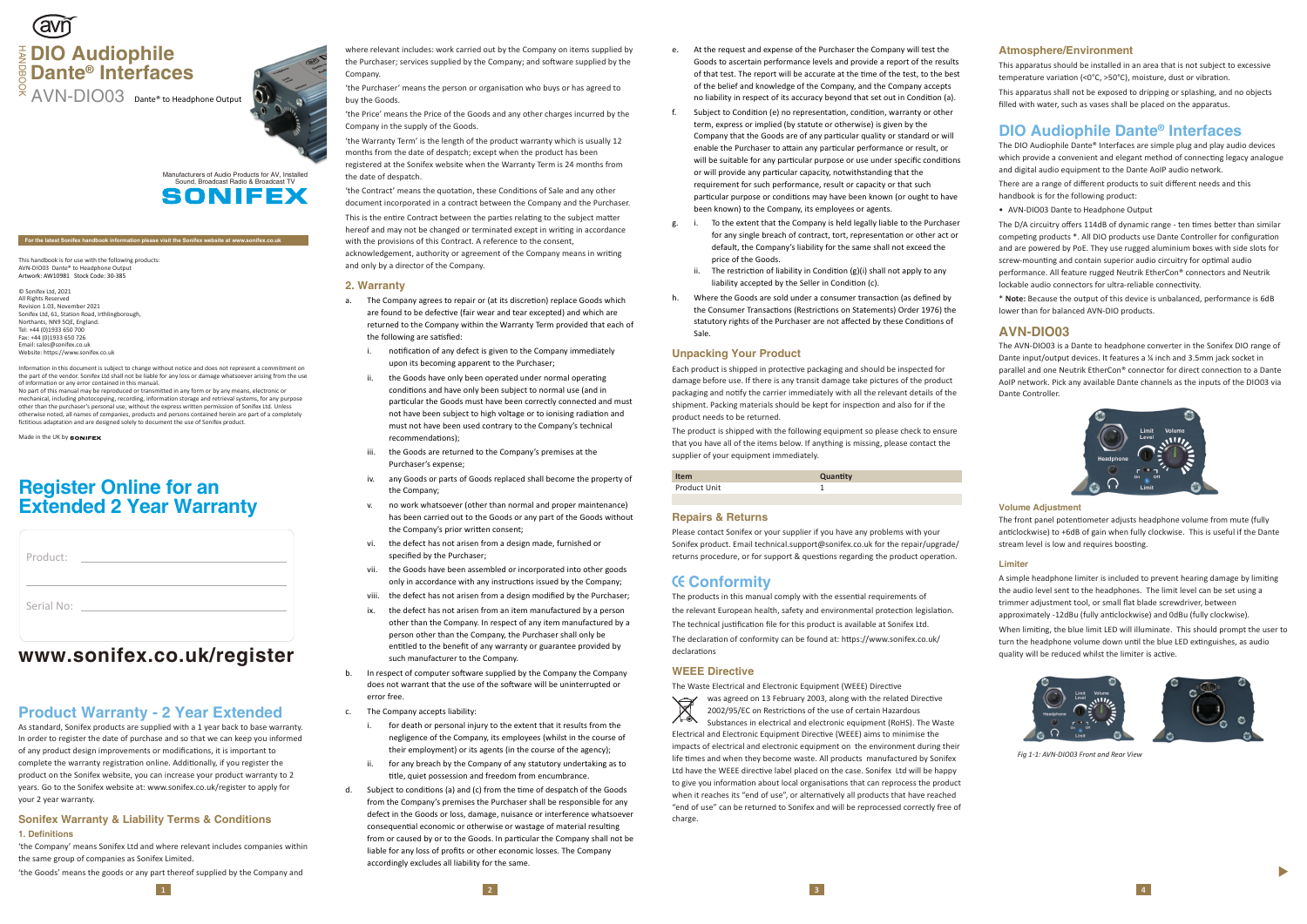- e. At the request and expense of the Purchaser the Company will test the Goods to ascertain performance levels and provide a report of the results of that test. The report will be accurate at the time of the test, to the best of the belief and knowledge of the Company, and the Company accepts no liability in respect of its accuracy beyond that set out in Condition (a).
- f. Subject to Condi�on (e) no representa�on, condi�on, warranty or other term, express or implied (by statute or otherwise) is given by the Company that the Goods are of any par�cular quality or standard or will enable the Purchaser to attain any particular performance or result, or will be suitable for any particular purpose or use under specific conditions or will provide any particular capacity, notwithstanding that the requirement for such performance, result or capacity or that such particular purpose or conditions may have been known (or ought to have been known) to the Company, its employees or agents.
- g. i. To the extent that the Company is held legally liable to the Purchaser for any single breach of contract, tort, representation or other act or default, the Company's liability for the same shall not exceed the price of the Goods.
	- The restriction of liability in Condition (g)(i) shall not apply to any liability accepted by the Seller in Condition (c).
- h. Where the Goods are sold under a consumer transaction (as defined by the Consumer Transactions (Restrictions on Statements) Order 1976) the statutory rights of the Purchaser are not affected by these Conditions of Sale.

Please contact Sonifex or your supplier if you have any problems with your Sonifex product. Email technical.support@sonifex.co.uk for the repair/upgrade/ returns procedure, or for support & questions regarding the product operation.

### **Unpacking Your Product**

Each product is shipped in protec�ve packaging and should be inspected for damage before use. If there is any transit damage take pictures of the product packaging and no�fy the carrier immediately with all the relevant details of the shipment. Packing materials should be kept for inspec�on and also for if the product needs to be returned.

was agreed on 13 February 2003, along with the related Directive 2002/95/EC on Restrictions of the use of certain Hazardous  $\triangle$ Substances in electrical and electronic equipment (RoHS). The Waste Electrical and Electronic Equipment Directive (WEEE) aims to minimise the impacts of electrical and electronic equipment on the environment during their life �mes and when they become waste. All products manufactured by Sonifex Ltd have the WEEE directive label placed on the case. Sonifex Ltd will be happy to give you information about local organisations that can reprocess the product when it reaches its "end of use", or alternatively all products that have reached "end of use" can be returned to Sonifex and will be reprocessed correctly free of charge.

The product is shipped with the following equipment so please check to ensure that you have all of the items below. If anything is missing, please contact the supplier of your equipment immediately.

| <b>Item</b>  | Quantity |
|--------------|----------|
| Product Unit |          |
|              |          |

#### **Repairs & Returns**

'the Purchaser' means the person or organisation who buys or has agreed to buy the Goods.

# **Conformity**

The products in this manual comply with the essential requirements of the relevant European health, safety and environmental protection legislation. The technical justification file for this product is available at Sonifex Ltd. The declaration of conformity can be found at: https://www.sonifex.co.uk/ declarations

'the Contract' means the quotation, these Conditions of Sale and any other document incorporated in a contract between the Company and the Purchaser. This is the entire Contract between the parties relating to the subject matter hereof and may not be changed or terminated except in writing in accordance with the provisions of this Contract. A reference to the consent, acknowledgement, authority or agreement of the Company means in writing and only by a director of the Company.

### **WEEE Directive**

The Waste Electrical and Electronic Equipment (WEEE) Directive

# **Product Warranty - 2 Year Extended**

As standard, Sonifex products are supplied with a 1 year back to base warranty. In order to register the date of purchase and so that we can keep you informed of any product design improvements or modifications, it is important to complete the warranty registration online. Additionally, if you register the product on the Sonifex website, you can increase your product warranty to 2 years. Go to the Sonifex website at: www.sonifex.co.uk/register to apply for your 2 year warranty.

- a. The Company agrees to repair or (at its discretion) replace Goods which are found to be defective (fair wear and tear excepted) and which are returned to the Company within the Warranty Term provided that each of the following are satisfied:
	- i. notification of any defect is given to the Company immediately upon its becoming apparent to the Purchaser;
	- ii. the Goods have only been operated under normal operating conditions and have only been subject to normal use (and in particular the Goods must have been correctly connected and must not have been subject to high voltage or to ionising radiation and must not have been used contrary to the Company's technical recommendations):
	- iii. the Goods are returned to the Company's premises at the Purchaser's expense;
	- iv. any Goods or parts of Goods replaced shall become the property of the Company;
	- v. no work whatsoever (other than normal and proper maintenance) has been carried out to the Goods or any part of the Goods without the Company's prior written consent;
	- vi. the defect has not arisen from a design made, furnished or specified by the Purchaser;
	- vii. the Goods have been assembled or incorporated into other goods only in accordance with any instructions issued by the Company;
	- viii. the defect has not arisen from a design modified by the Purchaser;
	- ix. the defect has not arisen from an item manufactured by a person other than the Company. In respect of any item manufactured by a person other than the Company, the Purchaser shall only be entitled to the benefit of any warranty or guarantee provided by such manufacturer to the Company.
- b. In respect of computer software supplied by the Company the Company does not warrant that the use of the software will be uninterrupted or error free.
- c. The Company accepts liability:
	- i. for death or personal injury to the extent that it results from the negligence of the Company, its employees (whilst in the course of their employment) or its agents (in the course of the agency);
	- ii. for any breach by the Company of any statutory undertaking as to title, quiet possession and freedom from encumbrance.
- d. Subject to conditions (a) and (c) from the time of despatch of the Goods from the Company's premises the Purchaser shall be responsible for any defect in the Goods or loss, damage, nuisance or interference whatsoever consequential economic or otherwise or wastage of material resulting from or caused by or to the Goods. In particular the Company shall not be liable for any loss of profits or other economic losses. The Company accordingly excludes all liability for the same.

This apparatus should be installed in an area that is not subject to excessive temperature variation (<0°C, >50°C), moisture, dust or vibration.

### **Sonifex Warranty & Liability Terms & Conditions 1. Definitions**

'the Company' means Sonifex Ltd and where relevant includes companies within the same group of companies as Sonifex Limited.

# **Register Online for an Extended 2 Year Warranty**

'the Goods' means the goods or any part thereof supplied by the Company and

where relevant includes: work carried out by the Company on items supplied by the Purchaser; services supplied by the Company; and software supplied by the Company.

'the Price' means the Price of the Goods and any other charges incurred by the Company in the supply of the Goods.

'the Warranty Term' is the length of the product warranty which is usually 12 months from the date of despatch; except when the product has been registered at the Sonifex website when the Warranty Term is 24 months from the date of despatch.

# **Tavr DIO Audiophile** HANDBOOK **Dante® Interfaces**

Manufacturers of Audio Products for AV, Installed Sound, Broadcast Radio & Broadcast TV SONIFEX

#### **2. Warranty**

#### **Atmosphere/Environment**

This apparatus shall not be exposed to dripping or splashing, and no objects filled with water, such as vases shall be placed on the apparatus.

# **www.sonifex.co.uk/register**

| Product:   |  |
|------------|--|
| Serial No: |  |

#### **For the latest Sonifex handbook information please visit the Sonifex website at www.sonifex.co.uk**

This handbook is for use with the following products: AVN-DIO03 Dante® to Headphone Outp Artwork: AW10981 Stock Code: 30-385

© Sonifex Ltd, 2021 All Rights Reserved Revision 1.03, November 2021 Sonifex Ltd, 61, Station Road, Irthlingborough, Northants, NN9 5OF, England. Tel: +44 (0)1933 650 700 Fax: +44 (0)1933 650 726 Email: sales@sonifex.co.uk Website: https://www.sonifex.co.uk

Information in this document is subject to change without notice and does not represent a commitment on the part of the vendor. Sonifex Ltd shall not be liable for any loss or damage whatsoever arising from the use of information or any error contained in this manual. No part of this manual may be reproduced or transmitted in any form or by any means, electronic or

mechanical, including photocopying, recording, information storage and retrieval systems, for any purpose other than the purchaser's personal use, without the express written permission of Sonifex Ltd. Unless otherwise noted, all names of companies, products and persons contained herein are part of a completely fictitious adaptation and are designed solely to document the use of Sonifex product.

Made in the UK by **SONIFE** 

AVN-DIO03 Dante® to Headphone Output



# **DIO Audiophile Dante ® Interfaces**

The DIO Audiophile Dante® Interfaces are simple plug and play audio devices which provide a convenient and elegant method of connecting legacy analogue and digital audio equipment to the Dante AoIP audio network.

There are a range of different products to suit different needs and this handbook is for the following product:

• AVN-DIO03 Dante to Headphone Output

The D/A circuitry offers 114dB of dynamic range - ten times better than similar competing products \*. All DIO products use Dante Controller for configuration and are powered by PoE. They use rugged aluminium boxes with side slots for screw-mounting and contain superior audio circuitry for optimal audio performance. All feature rugged Neutrik EtherCon® connectors and Neutrik lockable audio connectors for ultra-reliable connectivity.

\* **Note:** Because the output of this device is unbalanced, performance is 6dB lower than for balanced AVN-DIO products.

### **AVN-DIO03**

The AVN-DIO03 is a Dante to headphone converter in the Sonifex DIO range of Dante input/output devices. It features a ¼ inch and 3.5mm jack socket in parallel and one Neutrik EtherCon® connector for direct connection to a Dante AoIP network. Pick any available Dante channels as the inputs of the DIO03 via Dante Controller.



#### **Volume Adjustment**

The front panel potentiometer adjusts headphone volume from mute (fully anticlockwise) to +6dB of gain when fully clockwise. This is useful if the Dante stream level is low and requires boosting.

#### **Limiter**

A simple headphone limiter is included to prevent hearing damage by limiting the audio level sent to the headphones. The limit level can be set using a trimmer adjustment tool, or small flat blade screwdriver, between approximately -12dBu (fully anticlockwise) and OdBu (fully clockwise). When limiting, the blue limit LED will illuminate. This should prompt the user to turn the headphone volume down until the blue LED extinguishes, as audio



quality will be reduced whilst the limiter is active.

▲

*Fig 1-1: AVN-DIO03 Front and Rear View*